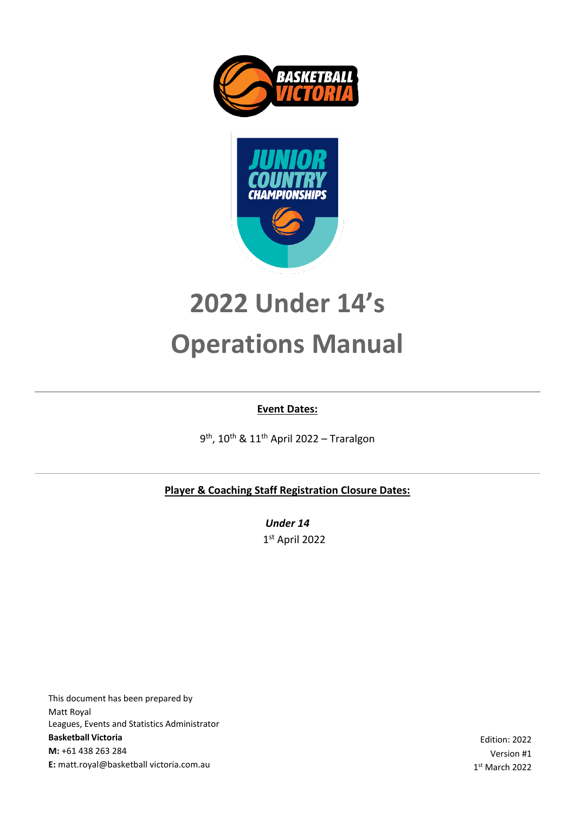



# **2022 Under 14's Operations Manual**

### **Event Dates:**

9<sup>th</sup>, 10<sup>th</sup> & 11<sup>th</sup> April 2022 – Traralgon

**Player & Coaching Staff Registration Closure Dates:**

*Under 14* 1 st April 2022

This document has been prepared by Matt Royal Leagues, Events and Statistics Administrator **Basketball Victoria M:** +61 438 263 284 **E:** matt.royal@basketball victoria.com.au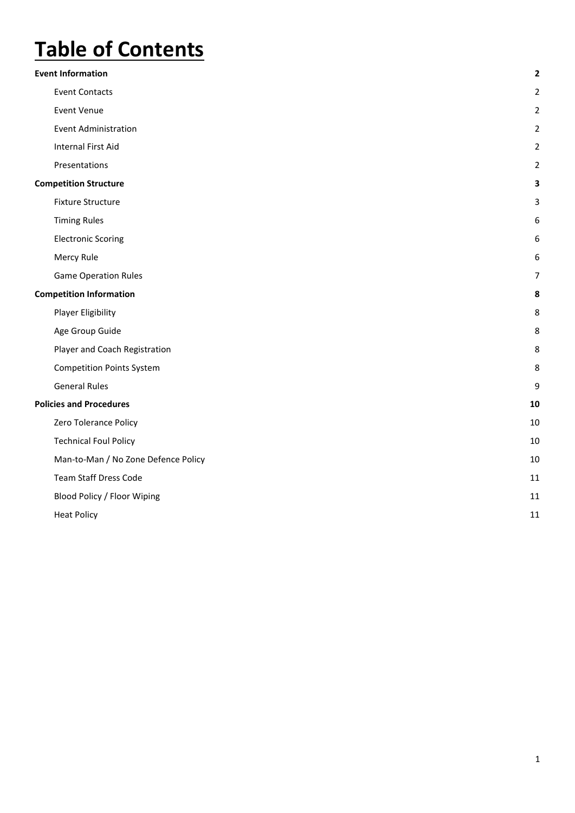## **Table of Contents**

| <b>Event Information</b>            | $\mathbf{2}$   |
|-------------------------------------|----------------|
| <b>Event Contacts</b>               | $\overline{2}$ |
| <b>Event Venue</b>                  | $\overline{2}$ |
| <b>Event Administration</b>         | $\overline{2}$ |
| <b>Internal First Aid</b>           | $\overline{2}$ |
| Presentations                       | $\overline{2}$ |
| <b>Competition Structure</b>        | 3              |
| <b>Fixture Structure</b>            | 3              |
| <b>Timing Rules</b>                 | 6              |
| <b>Electronic Scoring</b>           | 6              |
| Mercy Rule                          | 6              |
| <b>Game Operation Rules</b>         | $\overline{7}$ |
| <b>Competition Information</b>      | 8              |
| Player Eligibility                  | 8              |
| Age Group Guide                     | 8              |
| Player and Coach Registration       | 8              |
| <b>Competition Points System</b>    | 8              |
| <b>General Rules</b>                | 9              |
| <b>Policies and Procedures</b>      | 10             |
| Zero Tolerance Policy               | 10             |
| <b>Technical Foul Policy</b>        | 10             |
| Man-to-Man / No Zone Defence Policy | 10             |
| <b>Team Staff Dress Code</b>        | 11             |
| <b>Blood Policy / Floor Wiping</b>  | 11             |
| <b>Heat Policy</b>                  | 11             |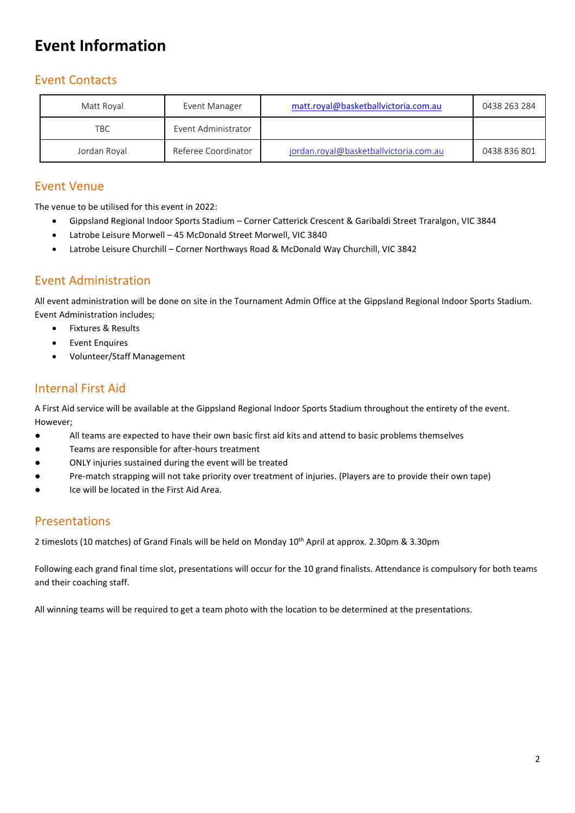### <span id="page-2-0"></span>**Event Information**

### <span id="page-2-1"></span>Event Contacts

| Matt Royal   | Event Manager       | matt.royal@basketballvictoria.com.au   | 0438 263 284 |
|--------------|---------------------|----------------------------------------|--------------|
| <b>TBC</b>   | Event Administrator |                                        |              |
| Jordan Royal | Referee Coordinator | jordan.royal@basketballvictoria.com.au | 0438 836 801 |

### <span id="page-2-2"></span>Event Venue

The venue to be utilised for this event in 2022:

- Gippsland Regional Indoor Sports Stadium Corner Catterick Crescent & Garibaldi Street Traralgon, VIC 3844
- Latrobe Leisure Morwell 45 McDonald Street Morwell, VIC 3840
- Latrobe Leisure Churchill Corner Northways Road & McDonald Way Churchill, VIC 3842

### <span id="page-2-3"></span>Event Administration

All event administration will be done on site in the Tournament Admin Office at the Gippsland Regional Indoor Sports Stadium. Event Administration includes;

- Fixtures & Results
- Event Enquires
- Volunteer/Staff Management

### <span id="page-2-4"></span>Internal First Aid

A First Aid service will be available at the Gippsland Regional Indoor Sports Stadium throughout the entirety of the event. However;

- All teams are expected to have their own basic first aid kits and attend to basic problems themselves
- Teams are responsible for after-hours treatment
- ONLY injuries sustained during the event will be treated
- Pre-match strapping will not take priority over treatment of injuries. (Players are to provide their own tape)
- <span id="page-2-5"></span>● Ice will be located in the First Aid Area.

### Presentations

2 timeslots (10 matches) of Grand Finals will be held on Monday 10<sup>th</sup> April at approx. 2.30pm & 3.30pm

Following each grand final time slot, presentations will occur for the 10 grand finalists. Attendance is compulsory for both teams and their coaching staff.

All winning teams will be required to get a team photo with the location to be determined at the presentations.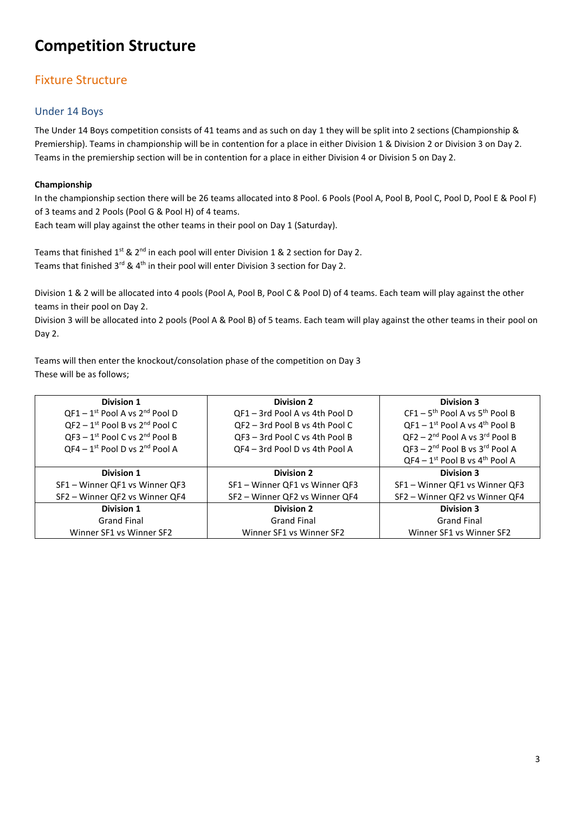### <span id="page-3-0"></span>**Competition Structure**

### <span id="page-3-1"></span>Fixture Structure

### Under 14 Boys

The Under 14 Boys competition consists of 41 teams and as such on day 1 they will be split into 2 sections (Championship & Premiership). Teams in championship will be in contention for a place in either Division 1 & Division 2 or Division 3 on Day 2. Teams in the premiership section will be in contention for a place in either Division 4 or Division 5 on Day 2.

#### **Championship**

In the championship section there will be 26 teams allocated into 8 Pool. 6 Pools (Pool A, Pool B, Pool C, Pool D, Pool E & Pool F) of 3 teams and 2 Pools (Pool G & Pool H) of 4 teams.

Each team will play against the other teams in their pool on Day 1 (Saturday).

Teams that finished  $1^{st}$  &  $2^{nd}$  in each pool will enter Division 1 & 2 section for Day 2. Teams that finished  $3^{rd}$  & 4<sup>th</sup> in their pool will enter Division 3 section for Day 2.

Division 1 & 2 will be allocated into 4 pools (Pool A, Pool B, Pool C & Pool D) of 4 teams. Each team will play against the other teams in their pool on Day 2.

Division 3 will be allocated into 2 pools (Pool A & Pool B) of 5 teams. Each team will play against the other teams in their pool on Day 2.

Teams will then enter the knockout/consolation phase of the competition on Day 3 These will be as follows;

| <b>Division 1</b>                                 | <b>Division 2</b>              | <b>Division 3</b>                        |
|---------------------------------------------------|--------------------------------|------------------------------------------|
| $QF1 - 1$ <sup>st</sup> Pool A vs $2^{nd}$ Pool D | QF1-3rd Pool A vs 4th Pool D   | $CF1 - 5th$ Pool A vs $5th$ Pool B       |
| $QF2 - 1st$ Pool B vs $2nd$ Pool C                | QF2-3rd Pool B vs 4th Pool C   | $QF1 - 1^{st}$ Pool A vs $4^{th}$ Pool B |
| $QF3 - 1$ <sup>st</sup> Pool C vs $2^{nd}$ Pool B | QF3 - 3rd Pool C vs 4th Pool B | $QF2 - 2^{nd}$ Pool A vs $3^{rd}$ Pool B |
| $QF4 - 1$ <sup>st</sup> Pool D vs $2^{nd}$ Pool A | QF4 - 3rd Pool D vs 4th Pool A | $QF3 - 2^{nd}$ Pool B vs $3^{rd}$ Pool A |
|                                                   |                                | $QFA - 1st$ Pool B vs $4th$ Pool A       |
| <b>Division 1</b>                                 | <b>Division 2</b>              | <b>Division 3</b>                        |
| SF1 - Winner QF1 vs Winner QF3                    | SF1 - Winner QF1 vs Winner QF3 | SF1 – Winner QF1 vs Winner QF3           |
| SF2 - Winner QF2 vs Winner QF4                    | SF2 - Winner QF2 vs Winner QF4 | SF2 - Winner QF2 vs Winner QF4           |
| <b>Division 1</b>                                 | <b>Division 2</b>              | <b>Division 3</b>                        |
| <b>Grand Final</b>                                | <b>Grand Final</b>             | <b>Grand Final</b>                       |
| Winner SF1 vs Winner SF2                          | Winner SF1 vs Winner SF2       | Winner SF1 vs Winner SF2                 |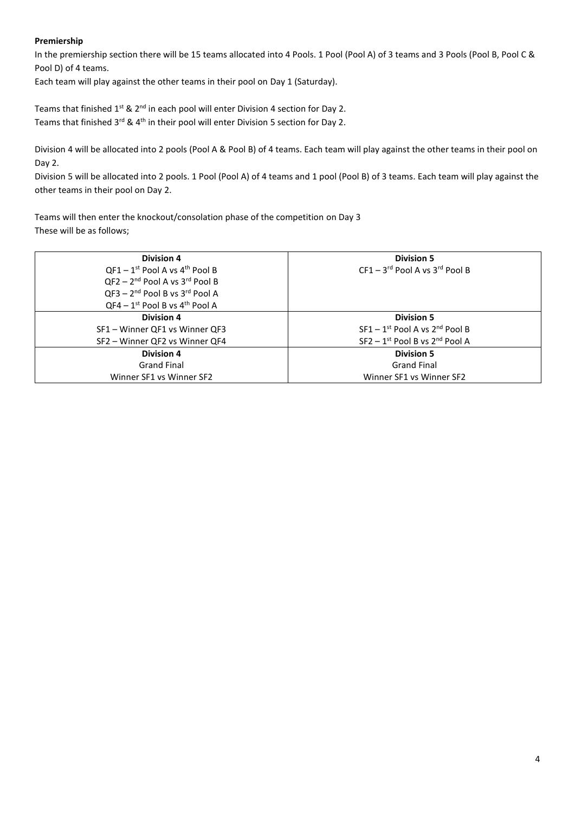#### **Premiership**

In the premiership section there will be 15 teams allocated into 4 Pools. 1 Pool (Pool A) of 3 teams and 3 Pools (Pool B, Pool C & Pool D) of 4 teams.

Each team will play against the other teams in their pool on Day 1 (Saturday).

Teams that finished  $1^{st}$  &  $2^{nd}$  in each pool will enter Division 4 section for Day 2. Teams that finished 3<sup>rd</sup> & 4<sup>th</sup> in their pool will enter Division 5 section for Day 2.

Division 4 will be allocated into 2 pools (Pool A & Pool B) of 4 teams. Each team will play against the other teams in their pool on Day 2.

Division 5 will be allocated into 2 pools. 1 Pool (Pool A) of 4 teams and 1 pool (Pool B) of 3 teams. Each team will play against the other teams in their pool on Day 2.

Teams will then enter the knockout/consolation phase of the competition on Day 3 These will be as follows;

| <b>Division 4</b>                                      | <b>Division 5</b>                  |
|--------------------------------------------------------|------------------------------------|
| $QF1 - 1^{st}$ Pool A vs $4^{th}$ Pool B               | $CF1 - 3rd$ Pool A vs $3rd$ Pool B |
| QF2 - 2 <sup>nd</sup> Pool A vs 3 <sup>rd</sup> Pool B |                                    |
| $QF3 - 2^{nd}$ Pool B vs $3^{rd}$ Pool A               |                                    |
| $QFA - 1st$ Pool B vs 4 <sup>th</sup> Pool A           |                                    |
| <b>Division 4</b>                                      | <b>Division 5</b>                  |
| SF1 - Winner QF1 vs Winner QF3                         | $SF1 - 1st$ Pool A vs $2nd$ Pool B |
| SF2 - Winner QF2 vs Winner QF4                         | $SF2 - 1st$ Pool B vs $2nd$ Pool A |
| <b>Division 4</b>                                      | <b>Division 5</b>                  |
| <b>Grand Final</b>                                     | <b>Grand Final</b>                 |
| Winner SF1 vs Winner SF2                               | Winner SF1 vs Winner SF2           |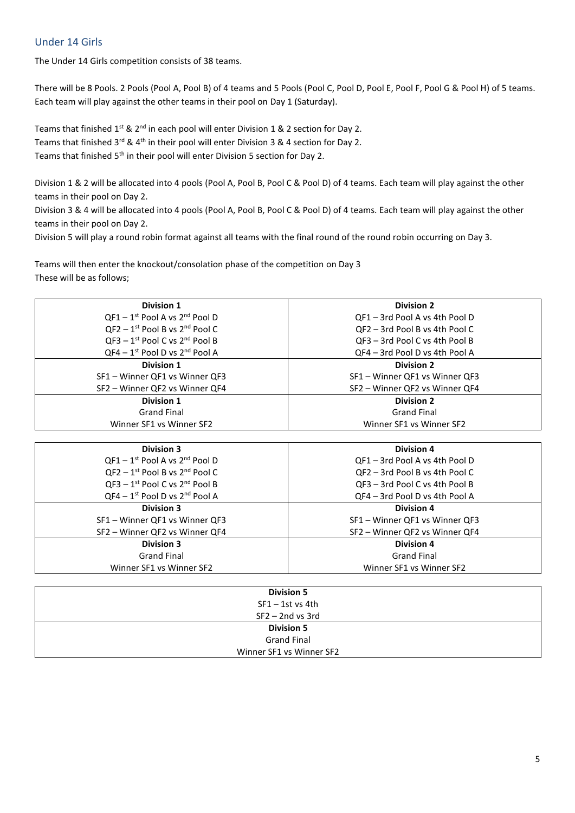#### Under 14 Girls

The Under 14 Girls competition consists of 38 teams.

There will be 8 Pools. 2 Pools (Pool A, Pool B) of 4 teams and 5 Pools (Pool C, Pool D, Pool E, Pool F, Pool G & Pool H) of 5 teams. Each team will play against the other teams in their pool on Day 1 (Saturday).

Teams that finished  $1^{st}$  &  $2^{nd}$  in each pool will enter Division 1 & 2 section for Day 2. Teams that finished  $3^{rd}$  & 4<sup>th</sup> in their pool will enter Division 3 & 4 section for Day 2. Teams that finished 5<sup>th</sup> in their pool will enter Division 5 section for Day 2.

Division 1 & 2 will be allocated into 4 pools (Pool A, Pool B, Pool C & Pool D) of 4 teams. Each team will play against the other teams in their pool on Day 2.

Division 3 & 4 will be allocated into 4 pools (Pool A, Pool B, Pool C & Pool D) of 4 teams. Each team will play against the other teams in their pool on Day 2.

Division 5 will play a round robin format against all teams with the final round of the round robin occurring on Day 3.

Teams will then enter the knockout/consolation phase of the competition on Day 3 These will be as follows;

| <b>Division 1</b>                                 | <b>Division 2</b>              |  |  |
|---------------------------------------------------|--------------------------------|--|--|
| $QF1 - 1$ <sup>st</sup> Pool A vs $2^{nd}$ Pool D | QF1-3rd Pool A vs 4th Pool D   |  |  |
| $QF2 - 1$ <sup>st</sup> Pool B vs $2^{nd}$ Pool C | QF2 - 3rd Pool B vs 4th Pool C |  |  |
| $QF3 - 1st$ Pool C vs $2nd$ Pool B                | QF3 - 3rd Pool C vs 4th Pool B |  |  |
| $QF4 - 1st$ Pool D vs $2nd$ Pool A                | QF4 - 3rd Pool D vs 4th Pool A |  |  |
| <b>Division 1</b>                                 | <b>Division 2</b>              |  |  |
| SF1 - Winner QF1 vs Winner QF3                    | SF1 - Winner QF1 vs Winner QF3 |  |  |
| SF2 - Winner QF2 vs Winner QF4                    | SF2 – Winner QF2 vs Winner QF4 |  |  |
| <b>Division 1</b>                                 | <b>Division 2</b>              |  |  |
| <b>Grand Final</b>                                | <b>Grand Final</b>             |  |  |
| Winner SF1 vs Winner SF2                          | Winner SF1 vs Winner SF2       |  |  |
|                                                   |                                |  |  |
| <b>Division 3</b>                                 | <b>Division 4</b>              |  |  |
| $QF1 - 1^{st}$ Pool A vs $2^{nd}$ Pool D          | QF1 – 3rd Pool A vs 4th Pool D |  |  |
| $QF2 - 1st$ Pool B vs $2nd$ Pool C                | QF2 – 3rd Pool B vs 4th Pool C |  |  |
| $QF3 - 1st$ Pool C vs $2nd$ Pool B                | QF3 - 3rd Pool C vs 4th Pool B |  |  |
| $QF4 - 1st$ Pool D vs $2nd$ Pool A                | QF4 - 3rd Pool D vs 4th Pool A |  |  |
| <b>Division 3</b>                                 | <b>Division 4</b>              |  |  |
| SF1 - Winner QF1 vs Winner QF3                    | SF1 - Winner QF1 vs Winner QF3 |  |  |

SF2 – Winner QF2 vs Winner QF4 SF2 – Winner QF2 vs Winner QF4 **Division 3** Grand Final Winner SF1 vs Winner SF2 **Division 4** Grand Final Winner SF1 vs Winner SF2 **Division 5**

| SF1 – 1st vs 4th         |
|--------------------------|
| $SF2 - 2nd$ vs 3rd       |
| <b>Division 5</b>        |
| <b>Grand Final</b>       |
| Winner SF1 vs Winner SF2 |
|                          |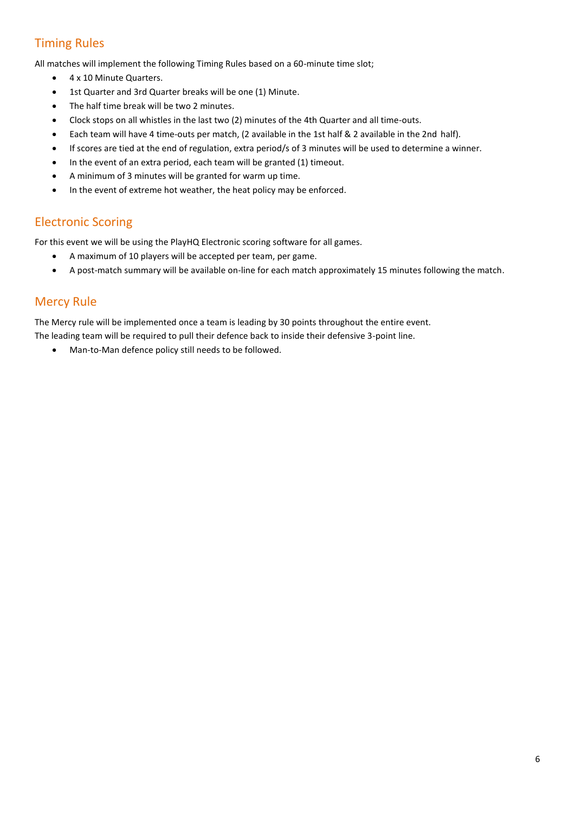### <span id="page-6-0"></span>Timing Rules

All matches will implement the following Timing Rules based on a 60-minute time slot;

- 4 x 10 Minute Quarters.
- 1st Quarter and 3rd Quarter breaks will be one (1) Minute.
- The half time break will be two 2 minutes.
- Clock stops on all whistles in the last two (2) minutes of the 4th Quarter and all time-outs.
- Each team will have 4 time-outs per match, (2 available in the 1st half & 2 available in the 2nd half).
- If scores are tied at the end of regulation, extra period/s of 3 minutes will be used to determine a winner.
- In the event of an extra period, each team will be granted (1) timeout.
- A minimum of 3 minutes will be granted for warm up time.
- In the event of extreme hot weather, the heat policy may be enforced.

### <span id="page-6-1"></span>Electronic Scoring

For this event we will be using the PlayHQ Electronic scoring software for all games.

- A maximum of 10 players will be accepted per team, per game.
- A post-match summary will be available on-line for each match approximately 15 minutes following the match.

### <span id="page-6-2"></span>Mercy Rule

The Mercy rule will be implemented once a team is leading by 30 points throughout the entire event. The leading team will be required to pull their defence back to inside their defensive 3-point line.

• Man-to-Man defence policy still needs to be followed.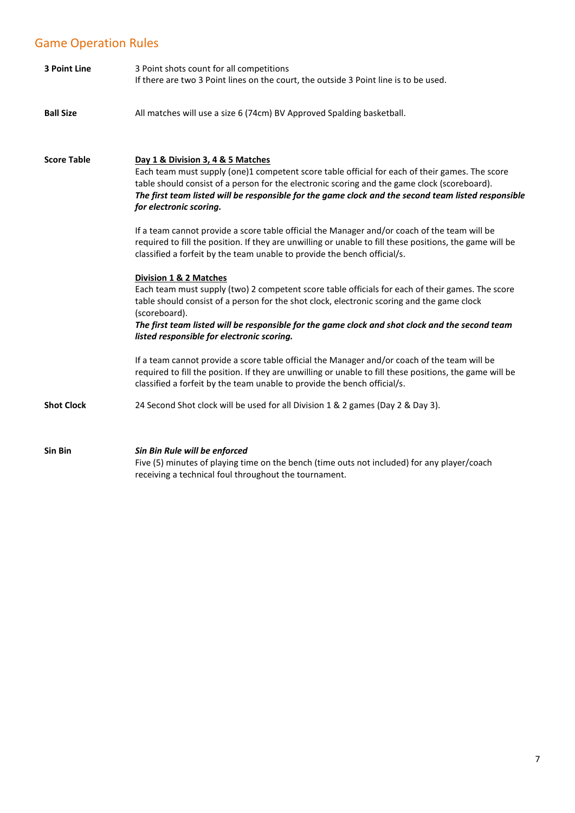### <span id="page-7-0"></span>Game Operation Rules

| <b>3 Point Line</b> | 3 Point shots count for all competitions<br>If there are two 3 Point lines on the court, the outside 3 Point line is to be used.                                                                                                                                                                                                                                                           |  |  |  |
|---------------------|--------------------------------------------------------------------------------------------------------------------------------------------------------------------------------------------------------------------------------------------------------------------------------------------------------------------------------------------------------------------------------------------|--|--|--|
| <b>Ball Size</b>    | All matches will use a size 6 (74cm) BV Approved Spalding basketball.                                                                                                                                                                                                                                                                                                                      |  |  |  |
| <b>Score Table</b>  | Day 1 & Division 3, 4 & 5 Matches<br>Each team must supply (one)1 competent score table official for each of their games. The score<br>table should consist of a person for the electronic scoring and the game clock (scoreboard).<br>The first team listed will be responsible for the game clock and the second team listed responsible<br>for electronic scoring.                      |  |  |  |
|                     | If a team cannot provide a score table official the Manager and/or coach of the team will be<br>required to fill the position. If they are unwilling or unable to fill these positions, the game will be<br>classified a forfeit by the team unable to provide the bench official/s.                                                                                                       |  |  |  |
|                     | Division 1 & 2 Matches<br>Each team must supply (two) 2 competent score table officials for each of their games. The score<br>table should consist of a person for the shot clock, electronic scoring and the game clock<br>(scoreboard).<br>The first team listed will be responsible for the game clock and shot clock and the second team<br>listed responsible for electronic scoring. |  |  |  |
|                     | If a team cannot provide a score table official the Manager and/or coach of the team will be<br>required to fill the position. If they are unwilling or unable to fill these positions, the game will be<br>classified a forfeit by the team unable to provide the bench official/s.                                                                                                       |  |  |  |
| <b>Shot Clock</b>   | 24 Second Shot clock will be used for all Division 1 & 2 games (Day 2 & Day 3).                                                                                                                                                                                                                                                                                                            |  |  |  |
| Sin Bin             | Sin Bin Rule will be enforced<br>Five (5) minutes of playing time on the bench (time outs not included) for any player/coach<br>receiving a technical foul throughout the tournament.                                                                                                                                                                                                      |  |  |  |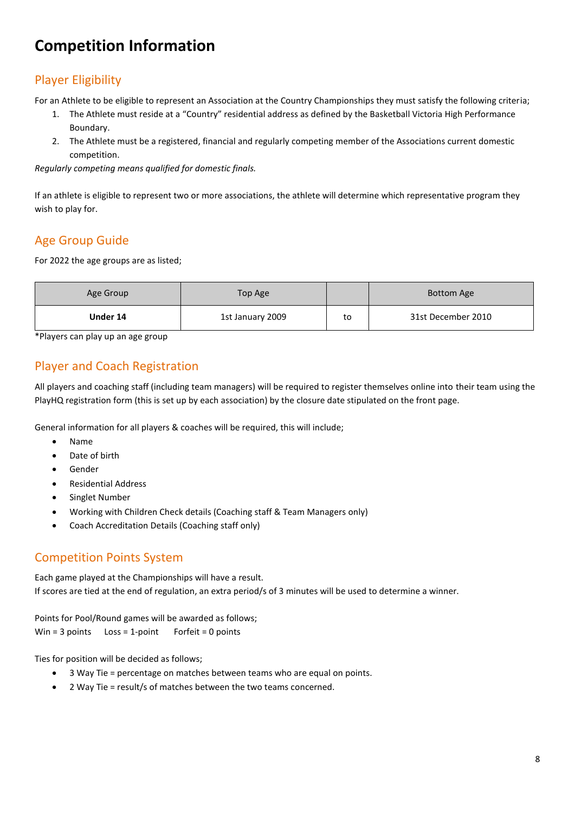### <span id="page-8-0"></span>**Competition Information**

### <span id="page-8-1"></span>Player Eligibility

For an Athlete to be eligible to represent an Association at the Country Championships they must satisfy the following criteria;

- 1. The Athlete must reside at a "Country" residential address as defined by the Basketball Victoria High Performance Boundary.
- 2. The Athlete must be a registered, financial and regularly competing member of the Associations current domestic competition.

*Regularly competing means qualified for domestic finals.*

If an athlete is eligible to represent two or more associations, the athlete will determine which representative program they wish to play for.

### <span id="page-8-2"></span>Age Group Guide

For 2022 the age groups are as listed;

| Age Group | Top Age          |  | <b>Bottom Age</b>  |
|-----------|------------------|--|--------------------|
| Under 14  | 1st January 2009 |  | 31st December 2010 |

<span id="page-8-3"></span>\*Players can play up an age group

### Player and Coach Registration

All players and coaching staff (including team managers) will be required to register themselves online into their team using the PlayHQ registration form (this is set up by each association) by the closure date stipulated on the front page.

General information for all players & coaches will be required, this will include;

- Name
- Date of birth
- **Gender**
- Residential Address
- Singlet Number
- Working with Children Check details (Coaching staff & Team Managers only)
- Coach Accreditation Details (Coaching staff only)

### <span id="page-8-4"></span>Competition Points System

Each game played at the Championships will have a result. If scores are tied at the end of regulation, an extra period/s of 3 minutes will be used to determine a winner.

Points for Pool/Round games will be awarded as follows; Win =  $3$  points Loss =  $1$ -point Forfeit =  $0$  points

Ties for position will be decided as follows;

- 3 Way Tie = percentage on matches between teams who are equal on points.
- 2 Way Tie = result/s of matches between the two teams concerned.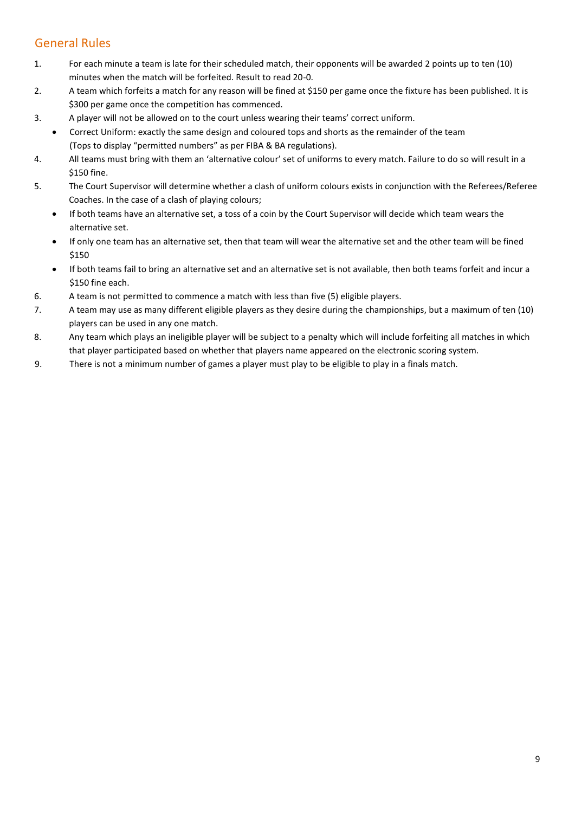### <span id="page-9-0"></span>General Rules

- 1. For each minute a team is late for their scheduled match, their opponents will be awarded 2 points up to ten (10) minutes when the match will be forfeited. Result to read 20-0.
- 2. A team which forfeits a match for any reason will be fined at \$150 per game once the fixture has been published. It is \$300 per game once the competition has commenced.
- 3. A player will not be allowed on to the court unless wearing their teams' correct uniform.
	- Correct Uniform: exactly the same design and coloured tops and shorts as the remainder of the team (Tops to display "permitted numbers" as per FIBA & BA regulations).
- 4. All teams must bring with them an 'alternative colour' set of uniforms to every match. Failure to do so will result in a \$150 fine.
- 5. The Court Supervisor will determine whether a clash of uniform colours exists in conjunction with the Referees/Referee Coaches. In the case of a clash of playing colours;
	- If both teams have an alternative set, a toss of a coin by the Court Supervisor will decide which team wears the alternative set.
	- If only one team has an alternative set, then that team will wear the alternative set and the other team will be fined \$150
	- If both teams fail to bring an alternative set and an alternative set is not available, then both teams forfeit and incur a \$150 fine each.
- 6. A team is not permitted to commence a match with less than five (5) eligible players.
- 7. A team may use as many different eligible players as they desire during the championships, but a maximum of ten (10) players can be used in any one match.
- 8. Any team which plays an ineligible player will be subject to a penalty which will include forfeiting all matches in which that player participated based on whether that players name appeared on the electronic scoring system.
- 9. There is not a minimum number of games a player must play to be eligible to play in a finals match.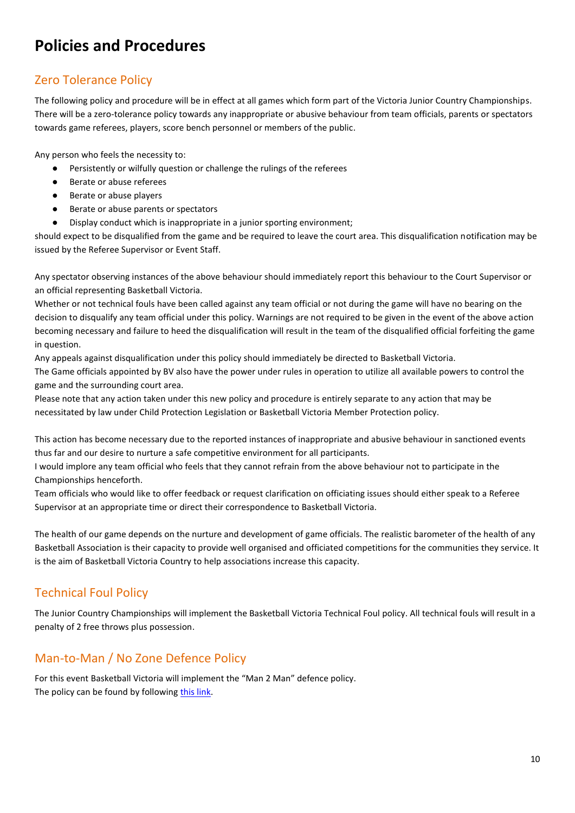### <span id="page-10-0"></span>**Policies and Procedures**

### <span id="page-10-1"></span>Zero Tolerance Policy

The following policy and procedure will be in effect at all games which form part of the Victoria Junior Country Championships. There will be a zero-tolerance policy towards any inappropriate or abusive behaviour from team officials, parents or spectators towards game referees, players, score bench personnel or members of the public.

Any person who feels the necessity to:

- Persistently or wilfully question or challenge the rulings of the referees
- Berate or abuse referees
- Berate or abuse players
- Berate or abuse parents or spectators
- Display conduct which is inappropriate in a junior sporting environment;

should expect to be disqualified from the game and be required to leave the court area. This disqualification notification may be issued by the Referee Supervisor or Event Staff.

Any spectator observing instances of the above behaviour should immediately report this behaviour to the Court Supervisor or an official representing Basketball Victoria.

Whether or not technical fouls have been called against any team official or not during the game will have no bearing on the decision to disqualify any team official under this policy. Warnings are not required to be given in the event of the above action becoming necessary and failure to heed the disqualification will result in the team of the disqualified official forfeiting the game in question.

Any appeals against disqualification under this policy should immediately be directed to Basketball Victoria.

The Game officials appointed by BV also have the power under rules in operation to utilize all available powers to control the game and the surrounding court area.

Please note that any action taken under this new policy and procedure is entirely separate to any action that may be necessitated by law under Child Protection Legislation or Basketball Victoria Member Protection policy.

This action has become necessary due to the reported instances of inappropriate and abusive behaviour in sanctioned events thus far and our desire to nurture a safe competitive environment for all participants.

I would implore any team official who feels that they cannot refrain from the above behaviour not to participate in the Championships henceforth.

Team officials who would like to offer feedback or request clarification on officiating issues should either speak to a Referee Supervisor at an appropriate time or direct their correspondence to Basketball Victoria.

The health of our game depends on the nurture and development of game officials. The realistic barometer of the health of any Basketball Association is their capacity to provide well organised and officiated competitions for the communities they service. It is the aim of Basketball Victoria Country to help associations increase this capacity.

### <span id="page-10-2"></span>Technical Foul Policy

The Junior Country Championships will implement the Basketball Victoria Technical Foul policy. All technical fouls will result in a penalty of 2 free throws plus possession.

### <span id="page-10-3"></span>Man-to-Man / No Zone Defence Policy

For this event Basketball Victoria will implement the "Man 2 Man" defence policy. The policy can be found by following [this link.](https://basketballvictoria.aws-sydney.thirdlight.com/link/l0r8g4gdyn32-4g6bhi)